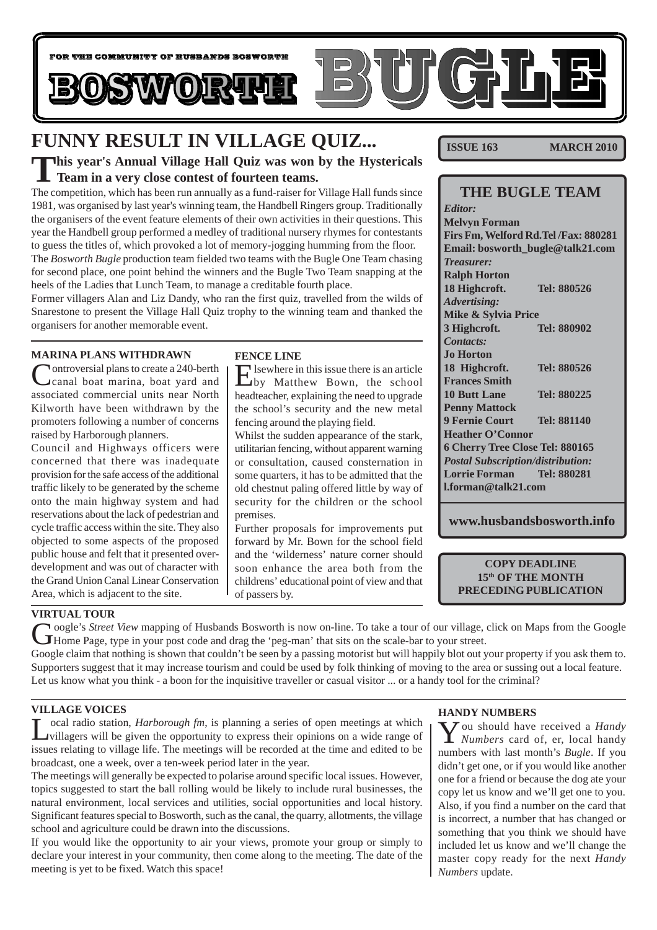

# **FUNNY RESULT IN VILLAGE QUIZ...**

### **This year's Annual Village Hall Quiz was won by the Hystericals Team in a very close contest of fourteen teams.**

The competition, which has been run annually as a fund-raiser for Village Hall funds since 1981, was organised by last year's winning team, the Handbell Ringers group. Traditionally the organisers of the event feature elements of their own activities in their questions. This year the Handbell group performed a medley of traditional nursery rhymes for contestants to guess the titles of, which provoked a lot of memory-jogging humming from the floor. The *Bosworth Bugle* production team fielded two teams with the Bugle One Team chasing for second place, one point behind the winners and the Bugle Two Team snapping at the heels of the Ladies that Lunch Team, to manage a creditable fourth place.

Former villagers Alan and Liz Dandy, who ran the first quiz, travelled from the wilds of Snarestone to present the Village Hall Quiz trophy to the winning team and thanked the organisers for another memorable event.

### **MARINA PLANS WITHDRAWN**

Controversial plans to create a 240-berth canal boat marina, boat yard and associated commercial units near North Kilworth have been withdrawn by the promoters following a number of concerns raised by Harborough planners.

Council and Highways officers were concerned that there was inadequate provision for the safe access of the additional traffic likely to be generated by the scheme onto the main highway system and had reservations about the lack of pedestrian and cycle traffic access within the site. They also objected to some aspects of the proposed public house and felt that it presented overdevelopment and was out of character with the Grand Union Canal Linear Conservation Area, which is adjacent to the site.

### **FENCE LINE**

Elsewhere in this issue there is an article by Matthew Bown, the school headteacher, explaining the need to upgrade the school's security and the new metal fencing around the playing field.

Whilst the sudden appearance of the stark, utilitarian fencing, without apparent warning or consultation, caused consternation in some quarters, it has to be admitted that the old chestnut paling offered little by way of security for the children or the school premises.

Further proposals for improvements put forward by Mr. Bown for the school field and the 'wilderness' nature corner should soon enhance the area both from the childrens' educational point of view and that of passers by.

**ISSUE 163 MARCH 2010** 

| <b>THE BUGLE TEAM</b>                    |             |  |
|------------------------------------------|-------------|--|
| <b>Editor:</b>                           |             |  |
| <b>Melvyn Forman</b>                     |             |  |
| Firs Fm, Welford Rd. Tel /Fax: 880281    |             |  |
| Email: bosworth_bugle@talk21.com         |             |  |
| <b>Treasurer:</b>                        |             |  |
| <b>Ralph Horton</b>                      |             |  |
| 18 Highcroft.                            | Tel: 880526 |  |
| <b>Advertising:</b>                      |             |  |
| Mike & Sylvia Price                      |             |  |
| 3 Highcroft.                             | Tel: 880902 |  |
| Contacts:                                |             |  |
| <b>Jo Horton</b>                         |             |  |
| 18 Highcroft.                            | Tel: 880526 |  |
| <b>Frances Smith</b>                     |             |  |
| <b>10 Butt Lane</b>                      | Tel: 880225 |  |
| <b>Penny Mattock</b>                     |             |  |
| <b>9 Fernie Court</b>                    | Tel: 881140 |  |
| <b>Heather O'Connor</b>                  |             |  |
| 6 Cherry Tree Close Tel: 880165          |             |  |
| <b>Postal Subscription/distribution:</b> |             |  |
| <b>Lorrie Forman</b>                     | Tel: 880281 |  |
| l.forman@talk21.com                      |             |  |

**www.husbandsbosworth.info**

### **COPY DEADLINE 15th OF THE MONTH PRECEDING PUBLICATION**

### **VIRTUAL TOUR**

Google's Street View mapping of Husbands Bosworth is now on-line. To take a tour of our village, click on Maps from the Google Home Page, type in your post code and drag the 'peg-man' that sits on the scale-bar to your str

Google claim that nothing is shown that couldn't be seen by a passing motorist but will happily blot out your property if you ask them to. Supporters suggest that it may increase tourism and could be used by folk thinking of moving to the area or sussing out a local feature. Let us know what you think - a boon for the inquisitive traveller or casual visitor ... or a handy tool for the criminal?

### **VILLAGE VOICES**

Local radio station, *Harborough fm*, is planning a series of open meetings at which will agers will be given the opportunity to express their opinions on a wide range of issues relating to village life. The meetings will be recorded at the time and edited to be broadcast, one a week, over a ten-week period later in the year.

The meetings will generally be expected to polarise around specific local issues. However, topics suggested to start the ball rolling would be likely to include rural businesses, the natural environment, local services and utilities, social opportunities and local history. Significant features special to Bosworth, such as the canal, the quarry, allotments, the village school and agriculture could be drawn into the discussions.

If you would like the opportunity to air your views, promote your group or simply to declare your interest in your community, then come along to the meeting. The date of the meeting is yet to be fixed. Watch this space!

### **HANDY NUMBERS**

You should have received a *Handy Numbers* card of, er, local handy numbers with last month's *Bugle*. If you didn't get one, or if you would like another one for a friend or because the dog ate your copy let us know and we'll get one to you. Also, if you find a number on the card that is incorrect, a number that has changed or something that you think we should have included let us know and we'll change the master copy ready for the next *Handy Numbers* update.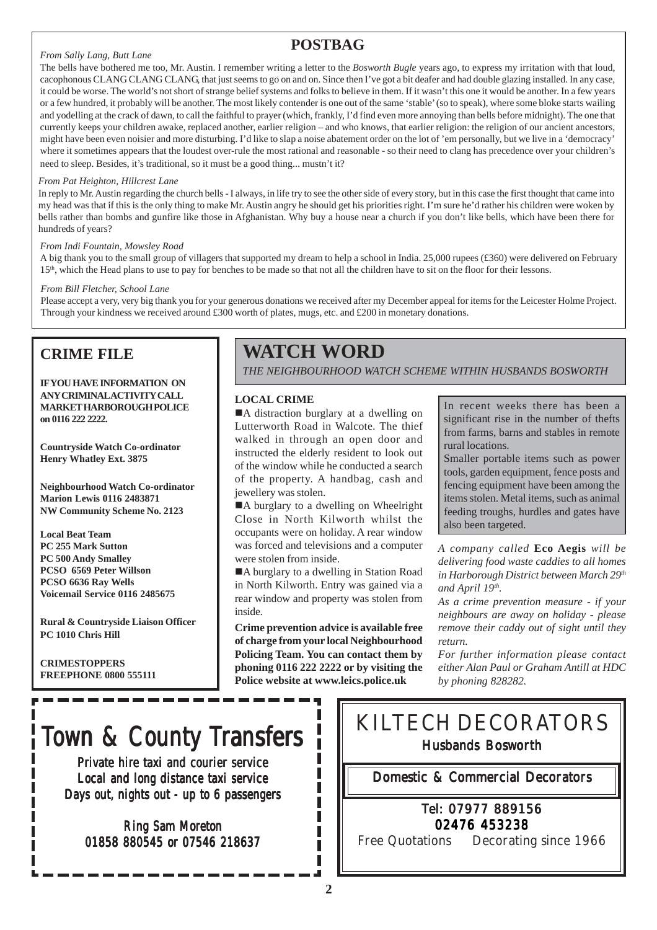## **POSTBAG**

### *From Sally Lang, Butt Lane*

The bells have bothered me too, Mr. Austin. I remember writing a letter to the *Bosworth Bugle* years ago, to express my irritation with that loud, cacophonous CLANG CLANG CLANG, that just seems to go on and on. Since then I've got a bit deafer and had double glazing installed. In any case, it could be worse. The world's not short of strange belief systems and folks to believe in them. If it wasn't this one it would be another. In a few years or a few hundred, it probably will be another. The most likely contender is one out of the same 'stable' (so to speak), where some bloke starts wailing and yodelling at the crack of dawn, to call the faithful to prayer (which, frankly, I'd find even more annoying than bells before midnight). The one that currently keeps your children awake, replaced another, earlier religion – and who knows, that earlier religion: the religion of our ancient ancestors, might have been even noisier and more disturbing. I'd like to slap a noise abatement order on the lot of 'em personally, but we live in a 'democracy' where it sometimes appears that the loudest over-rule the most rational and reasonable - so their need to clang has precedence over your children's need to sleep. Besides, it's traditional, so it must be a good thing... mustn't it?

### *From Pat Heighton, Hillcrest Lane*

In reply to Mr. Austin regarding the church bells - I always, in life try to see the other side of every story, but in this case the first thought that came into my head was that if this is the only thing to make Mr. Austin angry he should get his priorities right. I'm sure he'd rather his children were woken by bells rather than bombs and gunfire like those in Afghanistan. Why buy a house near a church if you don't like bells, which have been there for hundreds of years?

### *From Indi Fountain, Mowsley Road*

A big thank you to the small group of villagers that supported my dream to help a school in India. 25,000 rupees (£360) were delivered on February 15<sup>th</sup>, which the Head plans to use to pay for benches to be made so that not all the children have to sit on the floor for their lessons.

### *From Bill Fletcher, School Lane*

Please accept a very, very big thank you for your generous donations we received after my December appeal for items for the Leicester Holme Project. Through your kindness we received around £300 worth of plates, mugs, etc. and £200 in monetary donations.

## **CRIME FILE**

**IF YOU HAVE INFORMATION ON ANY CRIMINAL ACTIVITY CALL MARKET HARBOROUGH POLICE on 0116 222 2222.**

**Countryside Watch Co-ordinator Henry Whatley Ext. 3875**

**Neighbourhood Watch Co-ordinator Marion Lewis 0116 2483871 NW Community Scheme No. 2123**

**Local Beat Team PC 255 Mark Sutton PC 500 Andy Smalley PCSO 6569 Peter Willson PCSO 6636 Ray Wells Voicemail Service 0116 2485675**

**Rural & Countryside Liaison Officer PC 1010 Chris Hill**

**CRIMESTOPPERS FREEPHONE 0800 555111**

# **WATCH WORD**

*THE NEIGHBOURHOOD WATCH SCHEME WITHIN HUSBANDS BOSWORTH*

### **LOCAL CRIME**

■A distraction burglary at a dwelling on Lutterworth Road in Walcote. The thief walked in through an open door and instructed the elderly resident to look out of the window while he conducted a search of the property. A handbag, cash and jewellery was stolen.

■A burglary to a dwelling on Wheelright Close in North Kilworth whilst the occupants were on holiday. A rear window was forced and televisions and a computer were stolen from inside.

■A burglary to a dwelling in Station Road in North Kilworth. Entry was gained via a rear window and property was stolen from inside.

**Crime prevention advice is available free of charge from your local Neighbourhood Policing Team. You can contact them by phoning 0116 222 2222 or by visiting the Police website at www.leics.police.uk**

In recent weeks there has been a significant rise in the number of thefts from farms, barns and stables in remote rural locations.

Smaller portable items such as power tools, garden equipment, fence posts and fencing equipment have been among the items stolen. Metal items, such as animal feeding troughs, hurdles and gates have also been targeted.

*A company called* **Eco Aegis** *will be delivering food waste caddies to all homes in Harborough District between March 29th and April 19th.*

*As a crime prevention measure - if your neighbours are away on holiday - please remove their caddy out of sight until they return.*

*For further information please contact either Alan Paul or Graham Antill at HDC by phoning 828282.*

# Town & County Transfers

Private hire taxi and courier service Local and long distance taxi service Days out, nights out - up to 6 passengers

Ring Sam Moreton 01858 880545 or 07546 218637 KILTECH DECORATORS Husbands Bosworth

Domestic & Commercial Decorators

## Tel: 07977 889156 02476 453238

Free Quotations Decorating since 1966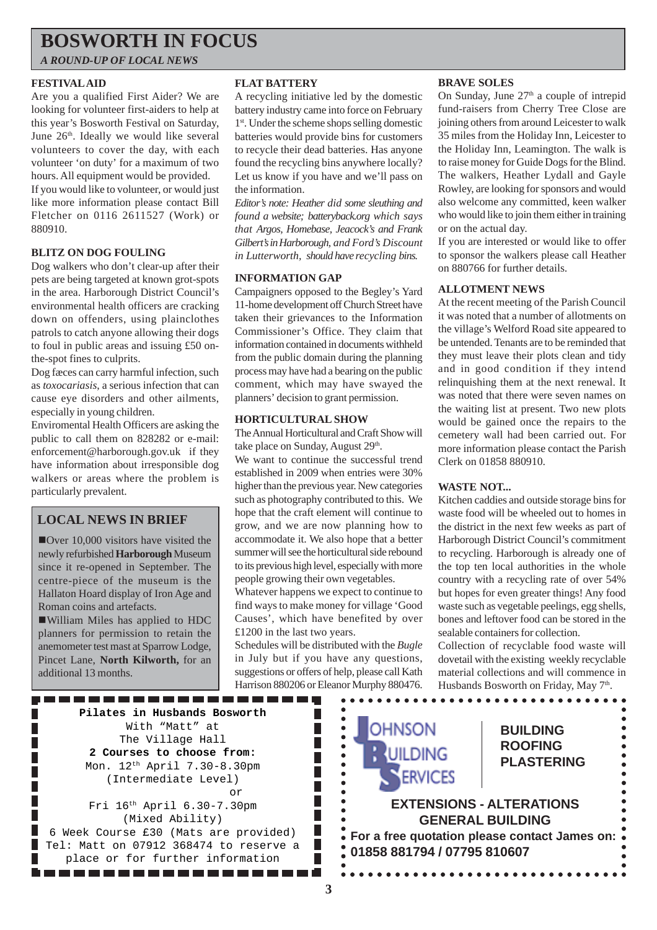# **BOSWORTH IN FOCUS**

*A ROUND-UP OF LOCAL NEWS*

### **FESTIVAL AID**

Are you a qualified First Aider? We are looking for volunteer first-aiders to help at this year's Bosworth Festival on Saturday, June 26<sup>th</sup>. Ideally we would like several volunteers to cover the day, with each volunteer 'on duty' for a maximum of two hours. All equipment would be provided. If you would like to volunteer, or would just like more information please contact Bill Fletcher on 0116 2611527 (Work) or 880910.

### **BLITZ ON DOG FOULING**

Dog walkers who don't clear-up after their pets are being targeted at known grot-spots in the area. Harborough District Council's environmental health officers are cracking down on offenders, using plainclothes patrols to catch anyone allowing their dogs to foul in public areas and issuing £50 onthe-spot fines to culprits.

Dog fæces can carry harmful infection, such as *toxocariasis*, a serious infection that can cause eye disorders and other ailments, especially in young children.

Enviromental Health Officers are asking the public to call them on 828282 or e-mail: enforcement@harborough.gov.uk if they have information about irresponsible dog walkers or areas where the problem is particularly prevalent.

## **LOCAL NEWS IN BRIEF**

**ID** Over 10,000 visitors have visited the newly refurbished **Harborough** Museum since it re-opened in September. The centre-piece of the museum is the Hallaton Hoard display of Iron Age and Roman coins and artefacts.

!William Miles has applied to HDC planners for permission to retain the anemometer test mast at Sparrow Lodge, Pincet Lane, **North Kilworth,** for an additional 13 months.

### **FLAT BATTERY**

A recycling initiative led by the domestic battery industry came into force on February 1st. Under the scheme shops selling domestic batteries would provide bins for customers to recycle their dead batteries. Has anyone found the recycling bins anywhere locally? Let us know if you have and we'll pass on the information.

*Editor's note: Heather did some sleuthing and found a website; batteryback.org which says that Argos, Homebase, Jeacock's and Frank Gilbert's in Harborough, and Ford's Discount in Lutterworth, should have recycling bins.*

### **INFORMATION GAP**

Campaigners opposed to the Begley's Yard 11-home development off Church Street have taken their grievances to the Information Commissioner's Office. They claim that information contained in documents withheld from the public domain during the planning process may have had a bearing on the public comment, which may have swayed the planners' decision to grant permission.

### **HORTICULTURAL SHOW**

The Annual Horticultural and Craft Show will take place on Sunday, August 29<sup>th</sup>.

We want to continue the successful trend established in 2009 when entries were 30% higher than the previous year. New categories such as photography contributed to this. We hope that the craft element will continue to grow, and we are now planning how to accommodate it. We also hope that a better summer will see the horticultural side rebound to its previous high level, especially with more people growing their own vegetables.

Whatever happens we expect to continue to find ways to make money for village 'Good Causes', which have benefited by over £1200 in the last two years.

Schedules will be distributed with the *Bugle* in July but if you have any questions, suggestions or offers of help, please call Kath Harrison 880206 or Eleanor Murphy 880476.

### **BRAVE SOLES**

On Sunday, June  $27<sup>th</sup>$  a couple of intrepid fund-raisers from Cherry Tree Close are joining others from around Leicester to walk 35 miles from the Holiday Inn, Leicester to the Holiday Inn, Leamington. The walk is to raise money for Guide Dogs for the Blind. The walkers, Heather Lydall and Gayle Rowley, are looking for sponsors and would also welcome any committed, keen walker who would like to join them either in training or on the actual day.

If you are interested or would like to offer to sponsor the walkers please call Heather on 880766 for further details.

### **ALLOTMENT NEWS**

At the recent meeting of the Parish Council it was noted that a number of allotments on the village's Welford Road site appeared to be untended. Tenants are to be reminded that they must leave their plots clean and tidy and in good condition if they intend relinquishing them at the next renewal. It was noted that there were seven names on the waiting list at present. Two new plots would be gained once the repairs to the cemetery wall had been carried out. For more information please contact the Parish Clerk on 01858 880910.

### **WASTE NOT...**

Kitchen caddies and outside storage bins for waste food will be wheeled out to homes in the district in the next few weeks as part of Harborough District Council's commitment to recycling. Harborough is already one of the top ten local authorities in the whole country with a recycling rate of over 54% but hopes for even greater things! Any food waste such as vegetable peelings, egg shells, bones and leftover food can be stored in the sealable containers for collection.

Collection of recyclable food waste will dovetail with the existing weekly recyclable material collections and will commence in Husbands Bosworth on Friday, May 7th.

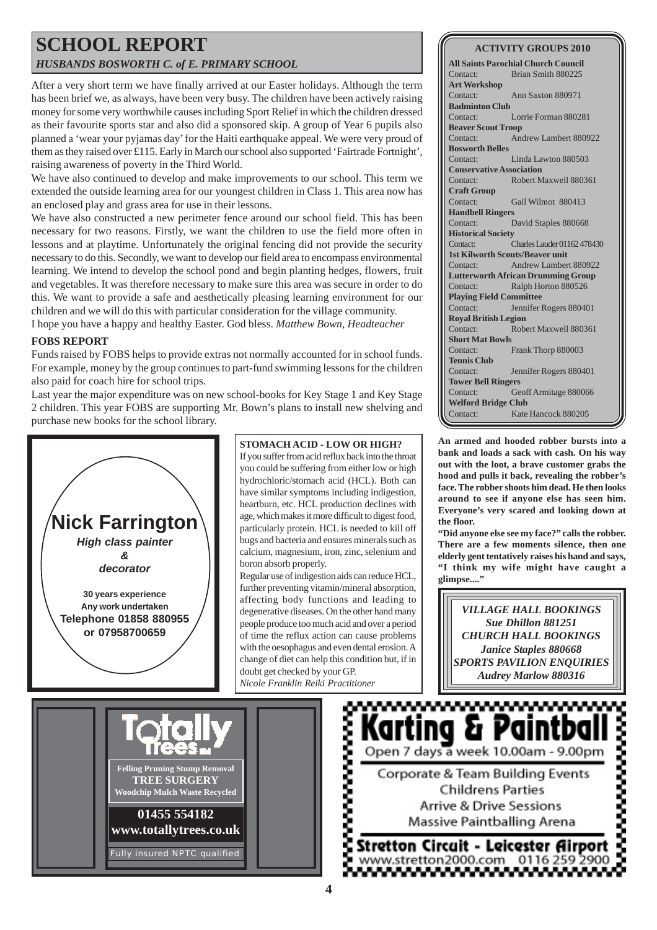## **SCHOOL REPORT** *HUSBANDS BOSWORTH C. of E. PRIMARY SCHOOL*

After a very short term we have finally arrived at our Easter holidays. Although the term has been brief we, as always, have been very busy. The children have been actively raising money for some very worthwhile causes including Sport Relief in which the children dressed as their favourite sports star and also did a sponsored skip. A group of Year 6 pupils also planned a 'wear your pyjamas day' for the Haiti earthquake appeal. We were very proud of them as they raised over £115. Early in March our school also supported 'Fairtrade Fortnight', raising awareness of poverty in the Third World.

We have also continued to develop and make improvements to our school. This term we extended the outside learning area for our youngest children in Class 1. This area now has an enclosed play and grass area for use in their lessons.

We have also constructed a new perimeter fence around our school field. This has been necessary for two reasons. Firstly, we want the children to use the field more often in lessons and at playtime. Unfortunately the original fencing did not provide the security necessary to do this. Secondly, we want to develop our field area to encompass environmental learning. We intend to develop the school pond and begin planting hedges, flowers, fruit and vegetables. It was therefore necessary to make sure this area was secure in order to do this. We want to provide a safe and aesthetically pleasing learning environment for our children and we will do this with particular consideration for the village community. I hope you have a happy and healthy Easter. God bless. *Matthew Bown, Headteacher*

### **FOBS REPORT**

Funds raised by FOBS helps to provide extras not normally accounted for in school funds. For example, money by the group continues to part-fund swimming lessons for the children also paid for coach hire for school trips.

Last year the major expenditure was on new school-books for Key Stage 1 and Key Stage 2 children. This year FOBS are supporting Mr. Bown's plans to install new shelving and purchase new books for the school library.



### **ACTIVITY GROUPS 2010**

**All Saints Parochial Church Council** Contact: Brian Smith 880225 **Art Workshop** Contact: Ann Saxton 880971 **Badminton Club** Contact: Lorrie Forman 880281 **Beaver Scout Troop** Contact: Andrew Lambert 880922 **Bosworth Belles** Contact: Linda Lawton 880503 **Conservative Association** Contact: Robert Maxwell 880361 **Craft Group** Contact: Gail Wilmot 880413 **Handbell Ringers** Contact: David Staples 880668 **Historical Society** Contact: Charles Lauder 01162 478430 **1st Kilworth Scouts/Beaver unit** Contact: Andrew Lambert 880922 **Lutterworth African Drumming Group** Contact: Ralph Horton 880526 **Playing Field Committee** Contact: Jennifer Rogers 880401 **Royal British Legion** Contact: Robert Maxwell 880361 **Short Mat Bowls** Contact: Frank Thorp 880003 **Tennis Club** Contact: Jennifer Rogers 880401 **Tower Bell Ringers** Contact: Geoff Armitage 880066 **Welford Bridge Club** Contact: Kate Hancock 880205

**An armed and hooded robber bursts into a bank and loads a sack with cash. On his way out with the loot, a brave customer grabs the hood and pulls it back, revealing the robber's face. The robber shoots him dead. He then looks around to see if anyone else has seen him. Everyone's very scared and looking down at the floor.**

**"Did anyone else see my face?" calls the robber. There are a few moments silence, then one elderly gent tentatively raises his hand and says, "I think my wife might have caught a glimpse...."**

*VILLAGE HALL BOOKINGS Sue Dhillon 881251 CHURCH HALL BOOKINGS Janice Staples 880668 SPORTS PAVILION ENQUIRIES Audrey Marlow 880316*

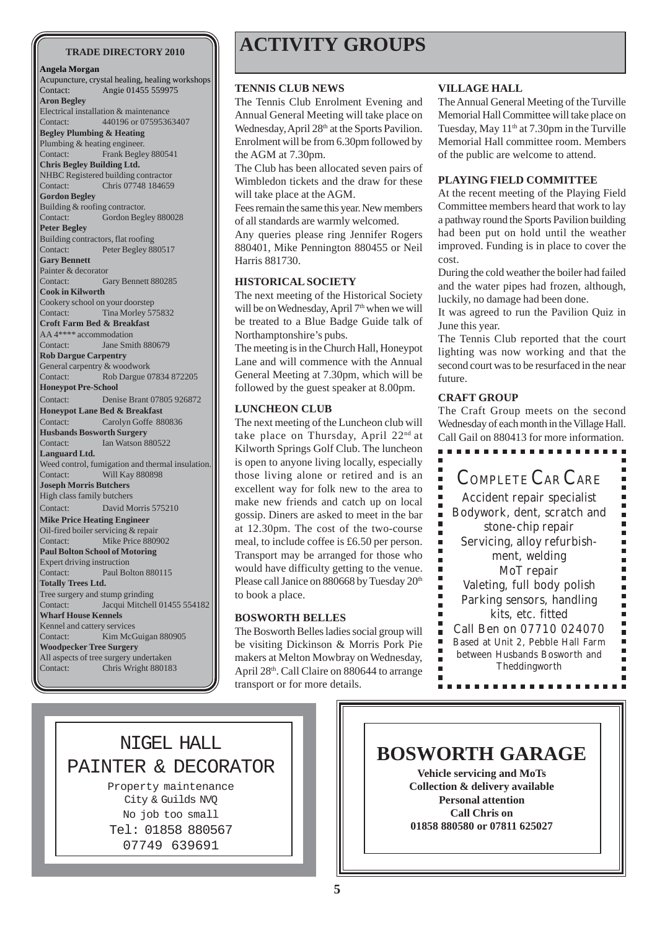### **Angela Morgan**

Acupuncture, crystal healing, healing workshops Contact: Angie 01455 559975 **Aron Begley** Electrical installation & maintenance Contact: 440196 or 07595363407 **Begley Plumbing & Heating** Plumbing & heating engineer. Contact: Frank Begley 880541 **Chris Begley Building Ltd.** NHBC Registered building contractor Contact: Chris 07748 184659 **Gordon Begley** Building & roofing contractor. Contact: Gordon Begley 880028 **Peter Begley** Building contractors, flat roofing Contact: Peter Begley 880517 **Gary Bennett** Painter & decorator Contact: Gary Bennett 880285 **Cook in Kilworth** Cookery school on your doorstep Contact: Tina Morley 575832 **Croft Farm Bed & Breakfast** AA 4\*\*\*\* accommodation Contact: Jane Smith 880679 **Rob Dargue Carpentry** General carpentry & woodwork Contact: Rob Dargue 07834 872205 **Honeypot Pre-School** Contact: Denise Brant 07805 926872 **Honeypot Lane Bed & Breakfast**<br>Contact: Carolyn Goffe 88 Carolyn Goffe 880836 **Husbands Bosworth Surgery** Contact: Ian Watson 880522 **Languard Ltd.** Weed control, fumigation and thermal insulation. Contact: Will Kay 880898 **Joseph Morris Butchers** High class family butchers Contact: David Morris 575210 **Mike Price Heating Engineer** Oil-fired boiler servicing & repair Contact: Mike Price 880902 **Paul Bolton School of Motoring** Expert driving instruction Contact: Paul Bolton 880115 **Totally Trees Ltd.** Tree surgery and stump grinding Contact: Jacqui Mitchell 01455 554182 **Wharf House Kennels** Kennel and cattery services Contact: Kim McGuigan 880905 **Woodpecker Tree Surgery** All aspects of tree surgery undertaken Contact: Chris Wright 880183

# **TRADE DIRECTORY 2010 ACTIVITY GROUPS**

### **TENNIS CLUB NEWS**

The Tennis Club Enrolment Evening and Annual General Meeting will take place on Wednesday, April 28<sup>th</sup> at the Sports Pavilion. Enrolment will be from 6.30pm followed by the AGM at 7.30pm.

The Club has been allocated seven pairs of Wimbledon tickets and the draw for these will take place at the AGM.

Fees remain the same this year. New members of all standards are warmly welcomed.

Any queries please ring Jennifer Rogers 880401, Mike Pennington 880455 or Neil Harris 881730.

### **HISTORICAL SOCIETY**

The next meeting of the Historical Society will be on Wednesday, April 7<sup>th</sup> when we will be treated to a Blue Badge Guide talk of Northamptonshire's pubs.

The meeting is in the Church Hall, Honeypot Lane and will commence with the Annual General Meeting at 7.30pm, which will be followed by the guest speaker at 8.00pm. **CRAFT GROUP**

### **LUNCHEON CLUB**

The next meeting of the Luncheon club will take place on Thursday, April 22<sup>nd</sup> at Kilworth Springs Golf Club. The luncheon is open to anyone living locally, especially those living alone or retired and is an excellent way for folk new to the area to make new friends and catch up on local gossip. Diners are asked to meet in the bar at 12.30pm. The cost of the two-course meal, to include coffee is £6.50 per person. Transport may be arranged for those who would have difficulty getting to the venue. Please call Janice on 880668 by Tuesday 20<sup>th</sup> to book a place.

### **BOSWORTH BELLES**

The Bosworth Belles ladies social group will be visiting Dickinson & Morris Pork Pie makers at Melton Mowbray on Wednesday, April 28th. Call Claire on 880644 to arrange transport or for more details.

### **VILLAGE HALL**

The Annual General Meeting of the Turville Memorial Hall Committee will take place on Tuesday, May  $11<sup>th</sup>$  at 7.30pm in the Turville Memorial Hall committee room. Members of the public are welcome to attend.

### **PLAYING FIELD COMMITTEE**

At the recent meeting of the Playing Field Committee members heard that work to lay a pathway round the Sports Pavilion building had been put on hold until the weather improved. Funding is in place to cover the cost.

During the cold weather the boiler had failed and the water pipes had frozen, although, luckily, no damage had been done.

It was agreed to run the Pavilion Quiz in June this year.

The Tennis Club reported that the court lighting was now working and that the second court was to be resurfaced in the near future.

The Craft Group meets on the second Wednesday of each month in the Village Hall. Call Gail on 880413 for more information.



## NIGEL HALL PAINTER & DECORATOR

Property maintenance City & Guilds NVQ No job too small Tel: 01858 880567 07749 639691

# **BOSWORTH GARAGE**

**Vehicle servicing and MoTs Collection & delivery available Personal attention Call Chris on 01858 880580 or 07811 625027**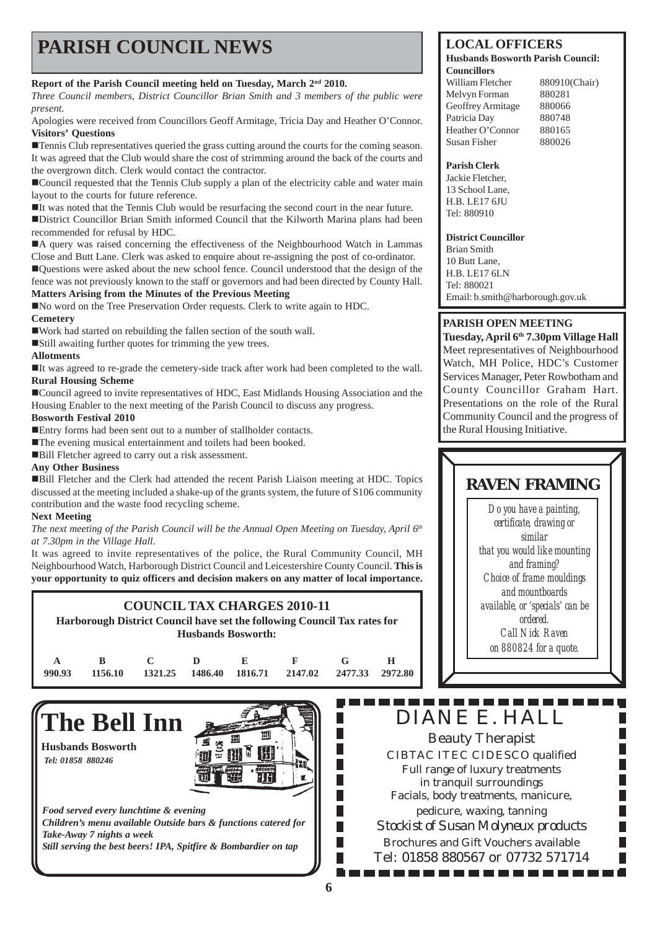# **PARISH COUNCIL NEWS** LOCAL OFFICERS

### **Report of the Parish Council meeting held on Tuesday, March 2nd 2010.**

*Three Council members, District Councillor Brian Smith and 3 members of the public were present.*

Apologies were received from Councillors Geoff Armitage, Tricia Day and Heather O'Connor. **Visitors' Questions**

**The Tennis Club representatives queried the grass cutting around the courts for the coming season.** It was agreed that the Club would share the cost of strimming around the back of the courts and the overgrown ditch. Clerk would contact the contractor.

!Council requested that the Tennis Club supply a plan of the electricity cable and water main layout to the courts for future reference.

!It was noted that the Tennis Club would be resurfacing the second court in the near future. !District Councillor Brian Smith informed Council that the Kilworth Marina plans had been recommended for refusal by HDC.

!A query was raised concerning the effectiveness of the Neighbourhood Watch in Lammas Close and Butt Lane. Clerk was asked to enquire about re-assigning the post of co-ordinator. !Questions were asked about the new school fence. Council understood that the design of the fence was not previously known to the staff or governors and had been directed by County Hall.

### **Matters Arising from the Minutes of the Previous Meeting**

!No word on the Tree Preservation Order requests. Clerk to write again to HDC.

### **Cemetery**

!Work had started on rebuilding the fallen section of the south wall.

!Still awaiting further quotes for trimming the yew trees.

### **Allotments**

!It was agreed to re-grade the cemetery-side track after work had been completed to the wall. **Rural Housing Scheme**

!Council agreed to invite representatives of HDC, East Midlands Housing Association and the Housing Enabler to the next meeting of the Parish Council to discuss any progress.

### **Bosworth Festival 2010**

!Entry forms had been sent out to a number of stallholder contacts.

**The evening musical entertainment and toilets had been booked.** 

!Bill Fletcher agreed to carry out a risk assessment.

### **Any Other Business**

!Bill Fletcher and the Clerk had attended the recent Parish Liaison meeting at HDC. Topics discussed at the meeting included a shake-up of the grants system, the future of S106 community contribution and the waste food recycling scheme.

### **Next Meeting**

*The next meeting of the Parish Council will be the Annual Open Meeting on Tuesday, April 6th at 7.30pm in the Village Hall.*

It was agreed to invite representatives of the police, the Rural Community Council, MH Neighbourhood Watch, Harborough District Council and Leicestershire County Council. **This is your opportunity to quiz officers and decision makers on any matter of local importance.**

### **COUNCIL TAX CHARGES 2010-11**

**Harborough District Council have set the following Council Tax rates for Husbands Bosworth:**

| ARCDEF GH                                                                      |  |  |  |
|--------------------------------------------------------------------------------|--|--|--|
| $990.93$ $1156.10$ $1321.25$ $1486.40$ $1816.71$ $2147.02$ $2477.33$ $2972.80$ |  |  |  |

# **The Bell Inn**

**Husbands Bosworth** *Tel: 01858 880246*



*Food served every lunchtime & evening Children's menu available Outside bars & functions catered for Take-Away 7 nights a week Still serving the best beers! IPA, Spitfire & Bombardier on tap*

### **Husbands Bosworth Parish Council: Councillors**

| William Fletcher  | 880910(Chair) |
|-------------------|---------------|
| Melvyn Forman     | 880281        |
| Geoffrey Armitage | 880066        |
| Patricia Day      | 880748        |
| Heather O'Connor  | 880165        |
| Susan Fisher      | 880026        |

### **Parish Clerk**

Jackie Fletcher, 13 School Lane, H.B. LE17 6JU Tel: 880910

### **District Councillor**

Brian Smith 10 Butt Lane, H.B. LE17 6LN Tel: 880021 Email: b.smith@harborough.gov.uk

### **PARISH OPEN MEETING**

**Tuesday, April 6th 7.30pm Village Hall** Meet representatives of Neighbourhood Watch, MH Police, HDC's Customer Services Manager, Peter Rowbotham and County Councillor Graham Hart. Presentations on the role of the Rural Community Council and the progress of the Rural Housing Initiative.

# **RAVEN FRAMING**

*Do you have a painting, certificate, drawing or similar that you would like mounting and framing? Choice of frame mouldings and mountboards available, or 'specials' can be ordered. Call Nick Raven on 880824 for a quote.*

### 1 M M M DIANE E. HALL

Beauty Therapist CIBTAC ITEC CIDESCO qualified Full range of luxury treatments in tranquil surroundings Facials, body treatments, manicure, pedicure, waxing, tanning *Stockist of Susan Molyneux products* Brochures and Gift Vouchers available Tel: 01858 880567 or 07732 571714

. . . . . . . . . . . . .

П П П

П П П П П П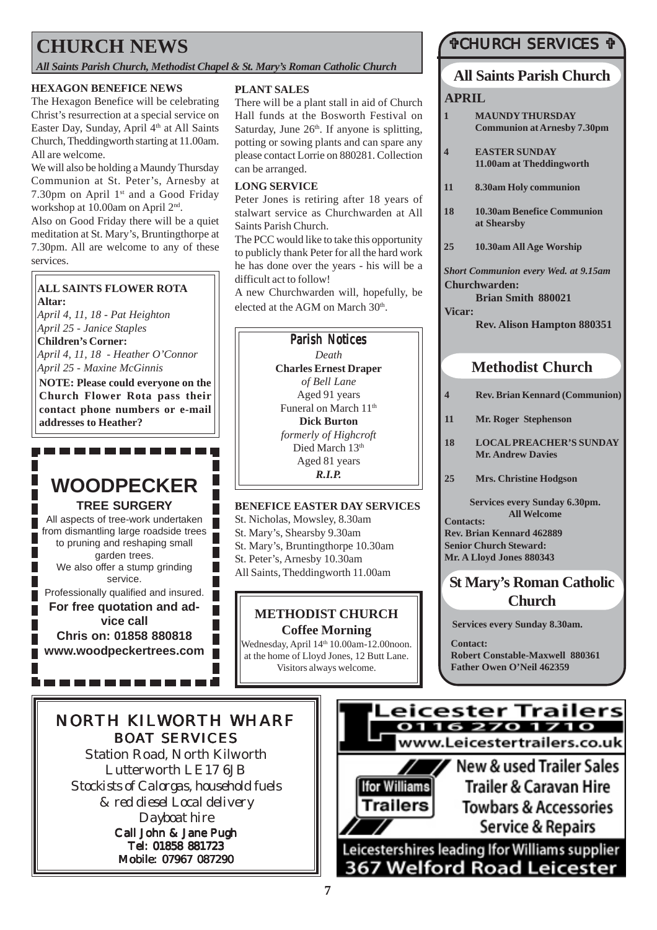# **CHURCH NEWS**

*All Saints Parish Church, Methodist Chapel & St. Mary's Roman Catholic Church*

### **HEXAGON BENEFICE NEWS**

The Hexagon Benefice will be celebrating Christ's resurrection at a special service on Easter Day, Sunday, April 4<sup>th</sup> at All Saints Church, Theddingworth starting at 11.00am. All are welcome.

We will also be holding a Maundy Thursday Communion at St. Peter's, Arnesby at 7.30pm on April 1<sup>st</sup> and a Good Friday workshop at 10.00am on April 2nd.

Also on Good Friday there will be a quiet meditation at St. Mary's, Bruntingthorpe at 7.30pm. All are welcome to any of these services.

### **ALL SAINTS FLOWER ROTA Altar:**

*April 4, 11, 18 - Pat Heighton April 25 - Janice Staples*

**Children's Corner:** *April 4, 11, 18 - Heather O'Connor April 25 - Maxine McGinnis*

**NOTE: Please could everyone on the Church Flower Rota pass their contact phone numbers or e-mail addresses to Heather?**

# **WOODPECKER TREE SURGERY**

---------

All aspects of tree-work undertaken from dismantling large roadside trees to pruning and reshaping small garden trees. We also offer a stump grinding service.

Professionally qualified and insured.

**For free quotation and advice call Chris on: 01858 880818 www.woodpeckertrees.com**

-------

### **PLANT SALES**

There will be a plant stall in aid of Church Hall funds at the Bosworth Festival on Saturday, June  $26<sup>th</sup>$ . If anyone is splitting, potting or sowing plants and can spare any please contact Lorrie on 880281. Collection can be arranged.

### **LONG SERVICE**

Peter Jones is retiring after 18 years of stalwart service as Churchwarden at All Saints Parish Church.

The PCC would like to take this opportunity to publicly thank Peter for all the hard work he has done over the years - his will be a difficult act to follow!

A new Churchwarden will, hopefully, be elected at the AGM on March 30<sup>th</sup>.

## **Parish Notices**

*Death* **Charles Ernest Draper** *of Bell Lane* Aged 91 years Funeral on March 11<sup>th</sup> **Dick Burton** *formerly of Highcroft* Died March 13th Aged 81 years *R.I.P.*

### **BENEFICE EASTER DAY SERVICES**

St. Nicholas, Mowsley, 8.30am

St. Mary's, Shearsby 9.30am

St. Mary's, Bruntingthorpe 10.30am

St. Peter's, Arnesby 10.30am

All Saints, Theddingworth 11.00am

# **METHODIST CHURCH**

**Coffee Morning** Wednesday, April 14<sup>th</sup> 10.00am-12.00noon. at the home of Lloyd Jones, 12 Butt Lane. Visitors always welcome.

## "CHURCH SERVICES "

# **All Saints Parish Church**

### **APRIL**

- **1 MAUNDY THURSDAY Communion at Arnesby 7.30pm**
- **4 EASTER SUNDAY 11.00am at Theddingworth**
- **11 8.30am Holy communion**
- **18 10.30am Benefice Communion at Shearsby**
- **25 10.30am All Age Worship**

*Short Communion every Wed. at 9.15am* **Churchwarden:**

**Brian Smith 880021 Vicar:**

**Rev. Alison Hampton 880351**

# **Methodist Church**

- **4 Rev. Brian Kennard (Communion)**
- **11 Mr. Roger Stephenson**
- **18 LOCAL PREACHER'S SUNDAY Mr. Andrew Davies**
- **25 Mrs. Christine Hodgson**

**Contacts: Services every Sunday 6.30pm. All Welcome**

**Rev. Brian Kennard 462889 Senior Church Steward: Mr. A Lloyd Jones 880343**

## **St Mary's Roman Catholic Church**

**Services every Sunday 8.30am.**

**Contact: Robert Constable-Maxwell 880361 Father Owen O'Neil 462359**

# NORTH KILWORTH WHARF BOAT SERVICES

Г Г Г Г

Г

Station Road, North Kilworth Lutterworth LE17 6JB *Stockists of Calorgas, household fuels & red diesel Local delivery Dayboat hire* Call John & Jane Pugh Tel: 01858 881723 Mobile: 07967 087290